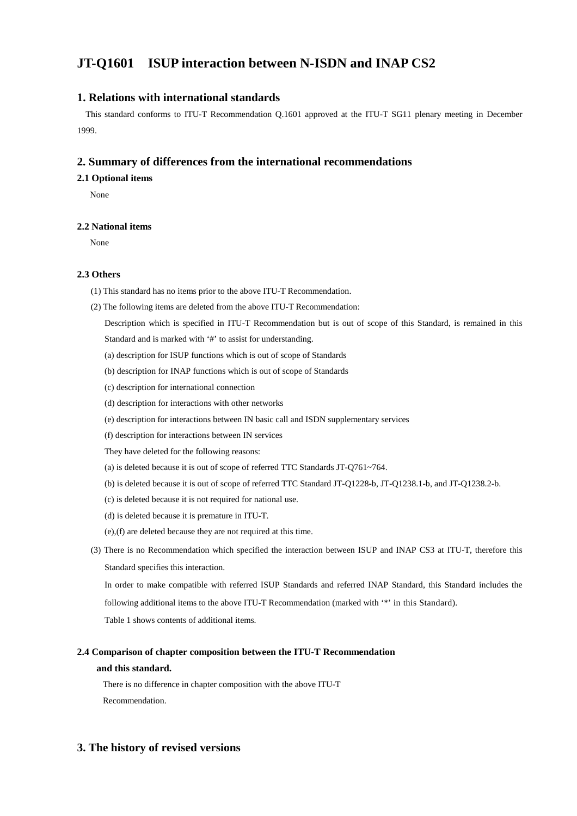# **JT-Q1601 ISUP interaction between N-ISDN and INAP CS2**

## **1. Relations with international standards**

 This standard conforms to ITU-T Recommendation Q.1601 approved at the ITU-T SG11 plenary meeting in December 1999.

### **2. Summary of differences from the international recommendations**

#### **2.1 Optional items**

None

#### **2.2 National items**

None

#### **2.3 Others**

- (1) This standard has no items prior to the above ITU-T Recommendation.
- (2) The following items are deleted from the above ITU-T Recommendation:
	- Description which is specified in ITU-T Recommendation but is out of scope of this Standard, is remained in this Standard and is marked with '#' to assist for understanding.
	- (a) description for ISUP functions which is out of scope of Standards
	- (b) description for INAP functions which is out of scope of Standards
	- (c) description for international connection
	- (d) description for interactions with other networks
	- (e) description for interactions between IN basic call and ISDN supplementary services
	- (f) description for interactions between IN services

They have deleted for the following reasons:

- (a) is deleted because it is out of scope of referred TTC Standards JT-Q761~764.
- (b) is deleted because it is out of scope of referred TTC Standard JT-Q1228-b, JT-Q1238.1-b, and JT-Q1238.2-b.
- (c) is deleted because it is not required for national use.
- (d) is deleted because it is premature in ITU-T.
- (e),(f) are deleted because they are not required at this time.
- (3) There is no Recommendation which specified the interaction between ISUP and INAP CS3 at ITU-T, therefore this Standard specifies this interaction.

In order to make compatible with referred ISUP Standards and referred INAP Standard, this Standard includes the following additional items to the above ITU-T Recommendation (marked with '\*' in this Standard).

Table 1 shows contents of additional items.

## **2.4 Comparison of chapter composition between the ITU-T Recommendation and this standard.**

 There is no difference in chapter composition with the above ITU-T Recommendation.

## **3. The history of revised versions**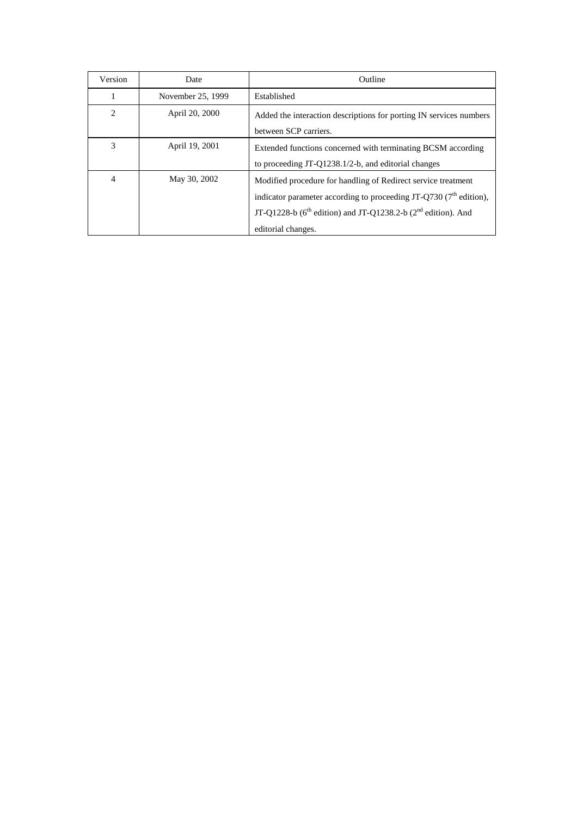| Version        | Date              | <b>Outline</b>                                                                                                                                                                                                                                    |  |
|----------------|-------------------|---------------------------------------------------------------------------------------------------------------------------------------------------------------------------------------------------------------------------------------------------|--|
| 1              | November 25, 1999 | Established                                                                                                                                                                                                                                       |  |
| $\overline{2}$ | April 20, 2000    | Added the interaction descriptions for porting IN services numbers<br>between SCP carriers.                                                                                                                                                       |  |
| 3              | April 19, 2001    | Extended functions concerned with terminating BCSM according<br>to proceeding JT-Q1238.1/2-b, and editorial changes                                                                                                                               |  |
| $\overline{4}$ | May 30, 2002      | Modified procedure for handling of Redirect service treatment<br>indicator parameter according to proceeding JT-Q730 (7 <sup>th</sup> edition),<br>JT-Q1228-b ( $6^{th}$ edition) and JT-Q1238.2-b ( $2^{nd}$ edition). And<br>editorial changes. |  |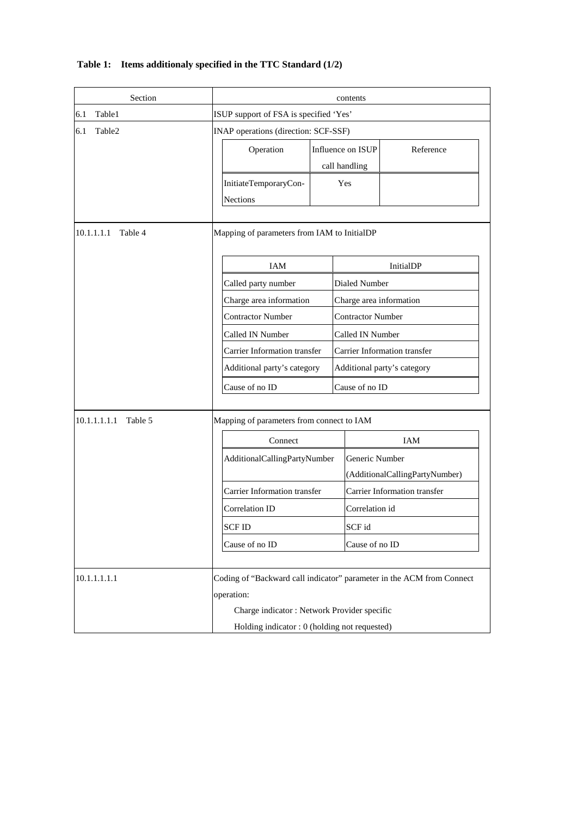|  |  |  | Table 1: Items additionaly specified in the TTC Standard (1/2) |
|--|--|--|----------------------------------------------------------------|
|--|--|--|----------------------------------------------------------------|

| Section               |                                                                                     | contents                                                    |                |                                     |  |
|-----------------------|-------------------------------------------------------------------------------------|-------------------------------------------------------------|----------------|-------------------------------------|--|
| 6.1<br>Table1         | ISUP support of FSA is specified 'Yes'                                              |                                                             |                |                                     |  |
| Table2<br>6.1         | INAP operations (direction: SCF-SSF)                                                |                                                             |                |                                     |  |
|                       | Operation                                                                           | Influence on ISUP                                           |                | Reference                           |  |
|                       |                                                                                     |                                                             | call handling  |                                     |  |
|                       | InitiateTemporaryCon-<br>Yes                                                        |                                                             |                |                                     |  |
|                       | <b>Nections</b>                                                                     |                                                             |                |                                     |  |
| 10.1.1.1.1<br>Table 4 | Mapping of parameters from IAM to InitialDP                                         |                                                             |                |                                     |  |
|                       | <b>IAM</b>                                                                          |                                                             | InitialDP      |                                     |  |
|                       | Called party number                                                                 |                                                             | Dialed Number  |                                     |  |
|                       |                                                                                     | Charge area information                                     |                | Charge area information             |  |
|                       | <b>Contractor Number</b>                                                            | <b>Contractor Number</b>                                    |                |                                     |  |
|                       | Called IN Number                                                                    | Called IN Number                                            |                |                                     |  |
|                       |                                                                                     | Carrier Information transfer<br>Additional party's category |                | Carrier Information transfer        |  |
|                       |                                                                                     |                                                             |                | Additional party's category         |  |
|                       | Cause of no ID                                                                      |                                                             | Cause of no ID |                                     |  |
| 10.1.1.1.1.1 Table 5  | Mapping of parameters from connect to IAM                                           |                                                             |                |                                     |  |
|                       | Connect                                                                             |                                                             | IAM            |                                     |  |
|                       |                                                                                     | AdditionalCallingPartyNumber                                |                | Generic Number                      |  |
|                       |                                                                                     |                                                             |                | (AdditionalCallingPartyNumber)      |  |
|                       | Carrier Information transfer                                                        |                                                             |                | <b>Carrier Information transfer</b> |  |
|                       | Correlation ID                                                                      | <b>SCFID</b>                                                |                | Correlation id                      |  |
|                       |                                                                                     |                                                             |                | SCF id                              |  |
|                       | Cause of no ID                                                                      |                                                             | Cause of no ID |                                     |  |
| 10.1.1.1.1.1          | Coding of "Backward call indicator" parameter in the ACM from Connect<br>operation: |                                                             |                |                                     |  |
|                       | Charge indicator: Network Provider specific                                         |                                                             |                |                                     |  |
|                       | Holding indicator : 0 (holding not requested)                                       |                                                             |                |                                     |  |